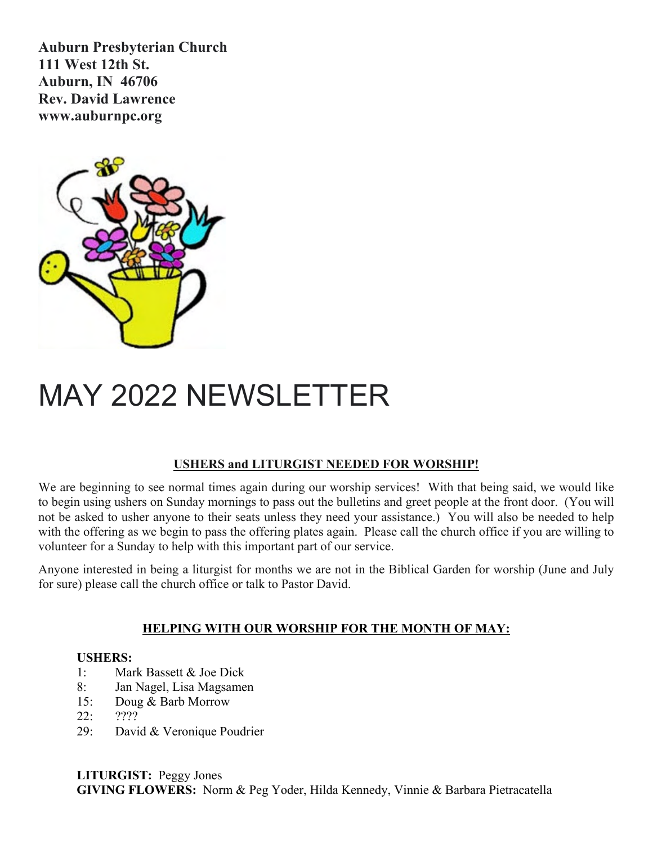**Auburn Presbyterian Church 111 West 12th St. Auburn, IN 46706 Rev. David Lawrence www.auburnpc.org**



# MAY 2022 NEWSLETTER

### **USHERS and LITURGIST NEEDED FOR WORSHIP!**

We are beginning to see normal times again during our worship services! With that being said, we would like to begin using ushers on Sunday mornings to pass out the bulletins and greet people at the front door. (You will not be asked to usher anyone to their seats unless they need your assistance.) You will also be needed to help with the offering as we begin to pass the offering plates again. Please call the church office if you are willing to volunteer for a Sunday to help with this important part of our service. **USHERS:**<br> **USHERS:**<br> **USHERS:**<br> **USHERS:**<br> **USHERS:**<br> **USHERS:**<br> **USHERS:**<br> **USHERS:**<br> **USHERS:**<br> **USHERS:**<br> **USHERS:**<br> **USHERS:**<br> **USHERS:**<br> **USHERS:**<br> **USHERS:**<br> **USHERS:**<br> **USHERS:**<br> **USHERS:**<br> **USHERS:**<br> **USHERS:**<br> **U** beginning to see normal times again during our worship<br>
i using ushers on Sunday mornings to pass out the bulletin<br>
asked to usher anyone to their seats unless they need your<br>
e offering as we begin to pass the offering pl 1 using ushers on Sunday mornings to pass out the buildtns and<br>asked to usher anyone to their seats unless they need your assis<br>e offering as we begin to pass the offering plates again. Please c<br>er for a Sunday to help wit asked to usher anyone to their see<br>
be offering as we begin to pass the<br>
er for a Sunday to help with this<br>
e interested in being a liturgist fo<br>
(b) please call the church office or<br> **HELPING WITH**<br>
USHERS:<br>
1: Mark Basse

Anyone interested in being a liturgist for months we are not in the Biblical Garden for worship (June and July for sure) please call the church office or talk to Pastor David. 2011 Bureau State of the Director of a Sunday to help with this important part of our enterested in being a liturgist for months we are not in please call the church office or talk to Pastor David Director Poudrier Control

### **HELPING WITH OUR WORSHIP FOR THE MONTH OF MAY:**

- 
- 
- 
- 
-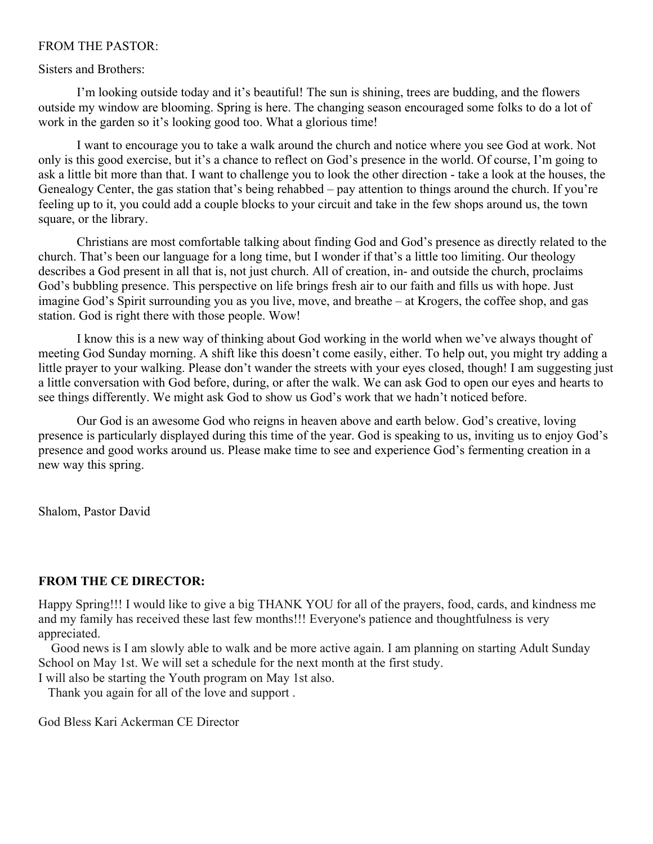#### FROM THE PASTOR:

#### Sisters and Brothers:

I'm looking outside today and it's beautiful! The sun is shining, trees are budding, and the flowers outside my window are blooming. Spring is here. The changing season encouraged some folks to do a lot of work in the garden so it's looking good too. What a glorious time!

I want to encourage you to take a walk around the church and notice where you see God at work. Not only is this good exercise, but it's a chance to reflect on God's presence in the world. Of course, I'm going to ask a little bit more than that. I want to challenge you to look the other direction - take a look at the houses, the Genealogy Center, the gas station that's being rehabbed – pay attention to things around the church. If you're feeling up to it, you could add a couple blocks to your circuit and take in the few shops around us, the town square, or the library.

Christians are most comfortable talking about finding God and God's presence as directly related to the church. That's been our language for a long time, but I wonder if that's a little too limiting. Our theology describes a God present in all that is, not just church. All of creation, in- and outside the church, proclaims God's bubbling presence. This perspective on life brings fresh air to our faith and fills us with hope. Just imagine God's Spirit surrounding you as you live, move, and breathe – at Krogers, the coffee shop, and gas station. God is right there with those people. Wow!

I know this is a new way of thinking about God working in the world when we've always thought of meeting God Sunday morning. A shift like this doesn't come easily, either. To help out, you might try adding a little prayer to your walking. Please don't wander the streets with your eyes closed, though! I am suggesting just a little conversation with God before, during, or after the walk. We can ask God to open our eyes and hearts to see things differently. We might ask God to show us God's work that we hadn't noticed before.

Our God is an awesome God who reigns in heaven above and earth below. God's creative, loving presence is particularly displayed during this time of the year. God is speaking to us, inviting us to enjoy God's presence and good works around us. Please make time to see and experience God's fermenting creation in a new way this spring.

Shalom, Pastor David

#### **FROM THE CE DIRECTOR:**

Happy Spring!!! I would like to give a big THANK YOU for all of the prayers, food, cards, and kindness me and my family has received these last few months!!! Everyone's patience and thoughtfulness is very appreciated.

 Good news is I am slowly able to walk and be more active again. I am planning on starting Adult Sunday School on May 1st. We will set a schedule for the next month at the first study.

I will also be starting the Youth program on May 1st also.

Thank you again for all of the love and support .

God Bless Kari Ackerman CE Director